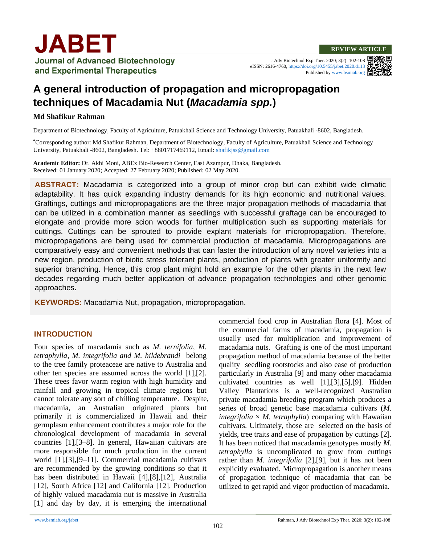J Adv Biotechnol Exp Ther. 2020; 3(2): 102-108 eISSN: 2616-4760,<https://doi.org/10.5455/jabet.2020.d113> Published b[y www.bsmiab.org](http://www.bsmiab.org/)



# **A general introduction of propagation and micropropagation techniques of Macadamia Nut (***Macadamia spp.***)**

#### **Md Shafikur Rahman**

Department of Biotechnology, Faculty of Agriculture, Patuakhali Science and Technology University, Patuakhali -8602, Bangladesh.

**\***Corresponding author: Md Shafikur Rahman, Department of Biotechnology, Faculty of Agriculture, Patuakhali Science and Technology University, Patuakhali -8602, Bangladesh. Tel: +8801717469112, Email: [shafikjss@gmail.com](mailto:shafikjss@gmail.com)

**Academic Editor:** Dr. Akhi Moni, ABEx Bio-Research Center, East Azampur, Dhaka, Bangladesh. Received: 01 January 2020; Accepted: 27 February 2020; Published: 02 May 2020.

**ABSTRACT:** Macadamia is categorized into a group of minor crop but can exhibit wide climatic adaptability. It has quick expanding industry demands for its high economic and nutritional values. Graftings, cuttings and micropropagations are the three major propagation methods of macadamia that can be utilized in a combination manner as seedlings with successful graftage can be encouraged to elongate and provide more scion woods for further multiplication such as supporting materials for cuttings. Cuttings can be sprouted to provide explant materials for micropropagation. Therefore, micropropagations are being used for commercial production of macadamia. Micropropagations are comparatively easy and convenient methods that can faster the introduction of any novel varieties into a new region, production of biotic stress tolerant plants, production of plants with greater uniformity and superior branching. Hence, this crop plant might hold an example for the other plants in the next few decades regarding much better application of advance propagation technologies and other genomic approaches.

**KEYWORDS:** Macadamia Nut, propagation, micropropagation.

#### **INTRODUCTION**

Four species of macadamia such as *M. ternifolia, M. tetraphylla*, *M. integrifolia and M. hildebrandi* belong to the tree family proteaceae are native to Australia and other ten species are assumed across the world [1],[2]. These trees favor warm region with high humidity and rainfall and growing in tropical climate regions but cannot tolerate any sort of chilling temperature. Despite, macadamia, an Australian originated plants but primarily it is commercialized in Hawaii and their germplasm enhancement contributes a major role for the chronological development of macadamia in several countries [1],[3–8]. In general, Hawaiian cultivars are more responsible for much production in the current world [1],[3],[9–11]. Commercial macadamia cultivars are recommended by the growing conditions so that it has been distributed in Hawaii [4],[8],[12], Australia [12], South Africa [12] and California [12]. Production of highly valued macadamia nut is massive in Australia [1] and day by day, it is emerging the international

commercial food crop in Australian flora [4]. Most of the commercial farms of macadamia, propagation is usually used for multiplication and improvement of macadamia nuts. Grafting is one of the most important propagation method of macadamia because of the better quality seedling rootstocks and also ease of production particularly in Australia [9] and many other macadamia cultivated countries as well [1],[3],[5],[9]. Hidden Valley Plantations is a well-recognized Australian private macadamia breeding program which produces a series of broad genetic base macadamia cultivars (*M. integrifolia*  $\times$  *M. tetraphylla*) comparing with Hawaiian cultivars. Ultimately, those are selected on the basis of yields, tree traits and ease of propagation by cuttings [2]. It has been noticed that macadamia genotypes mostly *M. tetraphylla* is uncomplicated to grow from cuttings rather than *M. integrifolia* [2],[9], but it has not been explicitly evaluated. Micropropagation is another means of propagation technique of macadamia that can be utilized to get rapid and vigor production of macadamia.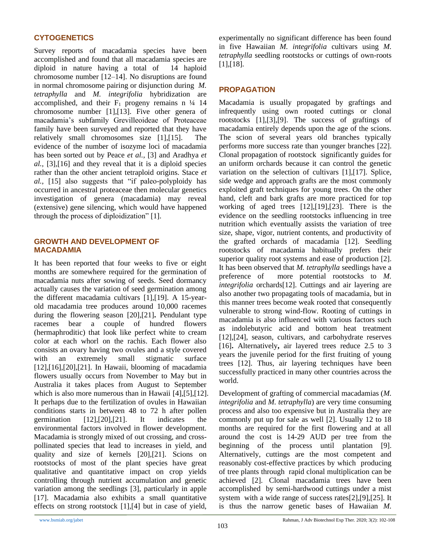## **CYTOGENETICS**

Survey reports of macadamia species have been accomplished and found that all macadamia species are diploid in nature having a total of 14 haploid chromosome number [12–14]. No disruptions are found in normal chromosome pairing or disjunction during *M. tetraphylla* and *M. integrifolia* hybridization are accomplished, and their  $F_1$  progeny remains n  $\frac{1}{4}$  14 chromosome number [1],[13]. Five other genera of macadamia's subfamily Grevilleoideae of Proteaceae family have been surveyed and reported that they have relatively small chromosomes size [1],[15]. The evidence of the number of isozyme loci of macadamia has been sorted out by Peace *et al.,* [3] and Aradhya *et al.,* [3]*,*[16] and they reveal that it is a diploid species rather than the other ancient tetraploid origins. Stace *et al.,* [15] also suggests that "if paleo-polyploidy has occurred in ancestral proteaceae then molecular genetics investigation of genera (macadamia) may reveal (extensive) gene silencing, which would have happened through the process of diploidization" [1].

#### **GROWTH AND DEVELOPMENT OF MACADAMIA**

It has been reported that four weeks to five or eight months are somewhere required for the germination of macadamia nuts after sowing of seeds. Seed dormancy actually causes the variation of seed germination among the different macadamia cultivars [1],[19]. A 15-yearold macadamia tree produces around 10,000 racemes during the flowering season [20],[21]**.** Pendulant type racemes bear a couple of hundred flowers (hermaphroditic) that look like perfect white to cream color at each whorl on the rachis. Each flower also consists an ovary having two ovules and a style covered with an extremely small stigmatic surface [12],[16],[20],[21]. In Hawaii, blooming of macadamia flowers usually occurs from November to May but in Australia it takes places from August to September which is also more numerous than in Hawaii [4],[5],[12]. It perhaps due to the fertilization of ovules in Hawaiian conditions starts in between 48 to 72 h after pollen germination [12],[20],[21]. It indicates the environmental factors involved in flower development. Macadamia is strongly mixed of out crossing, and crosspollinated species that lead to increases in yield, and quality and size of kernels [20],[21]. Scions on rootstocks of most of the plant species have great qualitative and quantitative impact on crop yields controlling through nutrient accumulation and genetic variation among the seedlings [3], particularly in apple [17]. Macadamia also exhibits a small quantitative effects on strong rootstock [1],[4] but in case of yield,

experimentally no significant difference has been found in five Hawaiian *M. integrifolia* cultivars using *M. tetraphylla* seedling rootstocks or cuttings of own-roots [1],[18].

## **PROPAGATION**

Macadamia is usually propagated by graftings and infrequently using own rooted cuttings or clonal rootstocks [1],[3],[9]. The success of graftings of macadamia entirely depends upon the age of the scions. The scion of several years old branches typically performs more success rate than younger branches [22]. Clonal propagation of rootstock significantly guides for an uniform orchards because it can control the genetic variation on the selection of cultivars [1],[17]. Splice, side wedge and approach grafts are the most commonly exploited graft techniques for young trees. On the other hand, cleft and bark grafts are more practiced for top working of aged trees [12],[19],[23]. There is the evidence on the seedling rootstocks influencing in tree nutrition which eventually assists the variation of tree size, shape, vigor, nutrient contents, and productivity of the grafted orchards of macadamia [12]. Seedling rootstocks of macadamia habitually prefers their superior quality root systems and ease of production [2]. It has been observed that *M. tetraphylla* seedlings have a preference of more potential rootstocks to *M. integrifolia* orchards[12]. Cuttings and air layering are also another two propagating tools of macadamia, but in this manner trees become weak rooted that consequently vulnerable to strong wind-flow. Rooting of cuttings in macadamia is also influenced with various factors such as indolebutyric acid and bottom heat treatment [12], [24], season, cultivars, and carbohydrate reserves [16]**.** Alternatively**,** air layered trees reduce 2.5 to 3 years the juvenile period for the first fruiting of young trees [12]. Thus, air layering techniques have been successfully practiced in many other countries across the world.

Development of grafting of commercial macadamias (*M. integrifolia* and *M. tetraphylla*) are very time consuming process and also too expensive but in Australia they are commonly put up for sale as well [2]. Usually 12 to 18 months are required for the first flowering and at all around the cost is 14-29 AUD per tree from the beginning of the process until plantation [9]. Alternatively, cuttings are the most competent and reasonably cost-effective practices by which producing of tree plants through rapid clonal multiplication can be achieved [2]. Clonal macadamia trees have been accomplished by semi-hardwood cuttings under a mist system with a wide range of success rates[2],[9],[25]. It is thus the narrow genetic bases of Hawaiian *M.*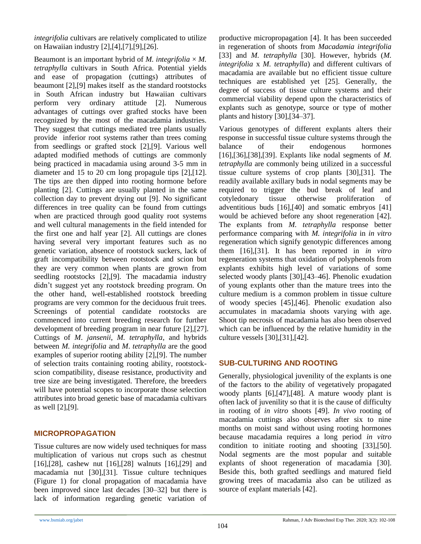*integrifolia* cultivars are relatively complicated to utilize on Hawaiian industry [2],[4],[7],[9],[26].

Beaumont is an important hybrid of *M. integrifolia*  $\times$  *M. tetraphylla* cultivars in South Africa. Potential yields and ease of propagation (cuttings) attributes of beaumont [2],[9] makes itself as the standard rootstocks in South African industry but Hawaiian cultivars perform very ordinary attitude [2]. Numerous advantages of cuttings over grafted stocks have been recognized by the most of the macadamia industries. They suggest that cuttings mediated tree plants usually provide inferior root systems rather than trees coming from seedlings or grafted stock [2],[9]. Various well adapted modified methods of cuttings are commonly being practiced in macadamia using around 3-5 mm in diameter and 15 to 20 cm long propagule tips [2],[12]. The tips are then dipped into rooting hormone before planting [2]. Cuttings are usually planted in the same collection day to prevent drying out [9]. No significant differences in tree quality can be found from cuttings when are practiced through good quality root systems and well cultural managements in the field intended for the first one and half year [2]. All cuttings are clones having several very important features such as no genetic variation, absence of rootstock suckers, lack of graft incompatibility between rootstock and scion but they are very common when plants are grown from seedling rootstocks [2],[9]. The macadamia industry didn't suggest yet any rootstock breeding program. On the other hand, well-established rootstock breeding programs are very common for the deciduous fruit trees. Screenings of potential candidate rootstocks are commenced into current breeding research for further development of breeding program in near future [2],[27]. Cuttings of *M*. *jansenii*, *M. tetraphylla*, and hybrids between *M. integrifolia* and *M*. *tetraphylla* are the good examples of superior rooting ability [2],[9]. The number of selection traits containing rooting ability, rootstockscion compatibility, disease resistance, productivity and tree size are being investigated. Therefore, the breeders will have potential scopes to incorporate those selection attributes into broad genetic base of macadamia cultivars as well [2],[9].

## **MICROPROPAGATION**

Tissue cultures are now widely used techniques for mass multiplication of various nut crops such as chestnut [16],[28], cashew nut [16],[28] walnuts [16],[29] and macadamia nut [30],[31]. Tissue culture techniques (Figure 1) for clonal propagation of macadamia have been improved since last decades [30–32] but there is lack of information regarding genetic variation of productive micropropagation [4]. It has been succeeded in regeneration of shoots from *Macadamia integrifolia*  [33] and *M. tetraphylla* [30]. However, hybrids (*M. integrifolia* x *M. tetraphylla*) and different cultivars of macadamia are available but no efficient tissue culture techniques are established yet [25]. Generally, the degree of success of tissue culture systems and their commercial viability depend upon the characteristics of explants such as genotype, source or type of mother plants and history [30],[34–37].

Various genotypes of different explants alters their response in successful tissue culture systems through the balance of their endogenous hormones [16],[36],[38],[39]. Explants like nodal segments of *M. tetraphylla* are commonly being utilized in a successful tissue culture systems of crop plants [30],[31]. The readily available axillary buds in nodal segments may be required to trigger the bud break of leaf and cotyledonary tissue otherwise proliferation of adventitious buds [16],[40] and somatic embryos [41] would be achieved before any shoot regeneration [42]. The explants from *M. tetraphylla* response better performance comparing with *M. integrifolia* in *in vitro* regeneration which signify genotypic differences among them [16],[31]. It has been reported in *in vitro* regeneration systems that oxidation of polyphenols from explants exhibits high level of variations of some selected woody plants [30],[43–46]. Phenolic exudation of young explants other than the mature trees into the culture medium is a common problem in tissue culture of woody species [45],[46]. Phenolic exudation also accumulates in macadamia shoots varying with age. Shoot tip necrosis of macadamia has also been observed which can be influenced by the relative humidity in the culture vessels [30],[31],[42].

## **SUB-CULTURING AND ROOTING**

Generally, physiological juvenility of the explants is one of the factors to the ability of vegetatively propagated woody plants [6],[47],[48]. A mature woody plant is often lack of juvenility so that it is the cause of difficulty in rooting of *in vitro* shoots [49]. *In vivo* rooting of macadamia cuttings also observes after six to nine months on moist sand without using rooting hormones because macadamia requires a long period *in vitro*  condition to initiate rooting and shooting [33],[50]. Nodal segments are the most popular and suitable explants of shoot regeneration of macadamia [30]. Beside this, both grafted seedlings and matured field growing trees of macadamia also can be utilized as source of explant materials [42].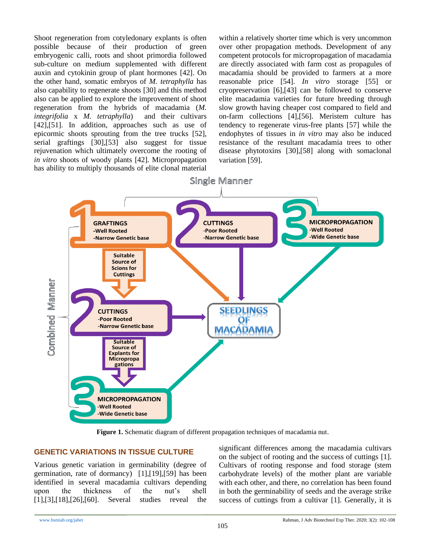Shoot regeneration from cotyledonary explants is often possible because of their production of green embryogenic calli, roots and shoot primordia followed sub-culture on medium supplemented with different auxin and cytokinin group of plant hormones [42]. On the other hand*,* somatic embryos of *M. tetraphylla* has also capability to regenerate shoots [30] and this method also can be applied to explore the improvement of shoot regeneration from the hybrids of macadamia (*M. integrifolia* x *M. tetraphylla*) and their cultivars [42],[51]. In addition, approaches such as use of epicormic shoots sprouting from the tree trucks [52], serial graftings [30],[53] also suggest for tissue rejuvenation which ultimately overcome the rooting of *in vitro* shoots of woody plants [42]. Micropropagation has ability to multiply thousands of elite clonal material

within a relatively shorter time which is very uncommon over other propagation methods. Development of any competent protocols for micropropagation of macadamia are directly associated with farm cost as propagules of macadamia should be provided to farmers at a more reasonable price [54]. *In vitro* storage [55] or cryopreservation [6],[43] can be followed to conserve elite macadamia varieties for future breeding through slow growth having cheaper cost compared to field and on-farm collections [4],[56]. Meristem culture has tendency to regenerate virus-free plants [57] while the endophytes of tissues in *in vitro* may also be induced resistance of the resultant macadamia trees to other disease phytotoxins [30],[58] along with somaclonal variation [59].



**Figure 1.** Schematic diagram of different propagation techniques of macadamia nut.

## **GENETIC VARIATIONS IN TISSUE CULTURE**

Various genetic variation in germinability (degree of germination, rate of dormancy) [1],[19],[59] has been identified in several macadamia cultivars depending upon the thickness of the nut's shell [1],[3],[18],[26],[60]. Several studies reveal the significant differences among the macadamia cultivars on the subject of rooting and the success of cuttings [1]. Cultivars of rooting response and food storage (stem carbohydrate levels) of the mother plant are variable with each other, and there, no correlation has been found in both the germinability of seeds and the average strike success of cuttings from a cultivar [1]. Generally, it is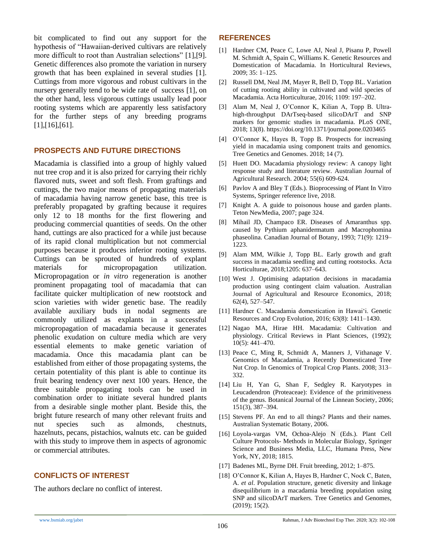bit complicated to find out any support for the hypothesis of "Hawaiian-derived cultivars are relatively more difficult to root than Australian selections" [1],[9]. Genetic differences also promote the variation in nursery growth that has been explained in several studies [1]. Cuttings from more vigorous and robust cultivars in the nursery generally tend to be wide rate of success [1], on the other hand, less vigorous cuttings usually lead poor rooting systems which are apparently less satisfactory for the further steps of any breeding programs [1],[16],[61].

#### **PROSPECTS AND FUTURE DIRECTIONS**

Macadamia is classified into a group of highly valued nut tree crop and it is also prized for carrying their richly flavored nuts, sweet and soft flesh. From graftings and cuttings, the two major means of propagating materials of macadamia having narrow genetic base, this tree is preferably propagated by grafting because it requires only 12 to 18 months for the first flowering and producing commercial quantities of seeds. On the other hand, cuttings are also practiced for a while just because of its rapid clonal multiplication but not commercial purposes because it produces inferior rooting systems. Cuttings can be sprouted of hundreds of explant materials for micropropagation utilization. Micropropagation or *in vitro* regeneration is another prominent propagating tool of macadamia that can facilitate quicker multiplication of new rootstock and scion varieties with wider genetic base. The readily available auxiliary buds in nodal segments are commonly utilized as explants in a successful micropropagation of macadamia because it generates phenolic exudation on culture media which are very essential elements to make genetic variation of macadamia. Once this macadamia plant can be established from either of those propagating systems, the certain potentiality of this plant is able to continue its fruit bearing tendency over next 100 years. Hence, the three suitable propagating tools can be used in combination order to initiate several hundred plants from a desirable single mother plant. Beside this, the bright future research of many other relevant fruits and nut species such as almonds, chestnuts, hazelnuts, pecans, pistachios, walnuts etc. can be guided with this study to improve them in aspects of agronomic or commercial attributes.

## **CONFLICTS OF INTEREST**

The authors declare no conflict of interest.

## **REFERENCES**

- [1] Hardner CM, Peace C, Lowe AJ, Neal J, Pisanu P, Powell M. Schmidt A, Spain C, Williams K. Genetic Resources and Domestication of Macadamia. In Horticultural Reviews, 2009; 35: 1–125.
- [2] Russell DM, Neal JM, Mayer R, Bell D, Topp BL. Variation of cutting rooting ability in cultivated and wild species of Macadamia. Acta Horticulturae, 2016; 1109: 197–202.
- [3] Alam M, Neal J, O'Connor K, Kilian A, Topp B. Ultrahigh-throughput DArTseq-based silicoDArT and SNP markers for genomic studies in macadamia. PLoS ONE, 2018; 13(8). <https://doi.org/10.1371/journal.pone.0203465>
- [4] O'Connor K, Hayes B, Topp B. Prospects for increasing yield in macadamia using component traits and genomics. Tree Genetics and Genomes. 2018; 14 (7).
- [5] Huett DO. Macadamia physiology review: A canopy light response study and literature review. Australian Journal of Agricultural Research. 2004; 55(6) 609-624.
- [6] Pavlov A and Bley T (Eds.). Bioprocessing of Plant In Vitro Systems, Springer reference live, 2018.
- [7] Knight A. A guide to poisonous house and garden plants. Teton NewMedia, 2007; page 324.
- [8] Mihail JD, Champaco ER. Diseases of Amaranthus spp. caused by Pythium aphanidermatum and Macrophomina phaseolina. Canadian Journal of Botany, 1993; 71(9): 1219– 1223.
- [9] Alam MM, Wilkie J, Topp BL. Early growth and graft success in macadamia seedling and cutting rootstocks. Acta Horticulturae*,* 2018;1205: 637–643.
- [10] West J. Optimising adaptation decisions in macadamia production using contingent claim valuation. Australian Journal of Agricultural and Resource Economics, 2018; 62(4), 527–547.
- [11] Hardner C. Macadamia domestication in Hawai'i. Genetic Resources and Crop Evolution, 2016; 63(8): 1411–1430.
- [12] Nagao MA, Hirae HH. Macadamia: Cultivation and physiology. Critical Reviews in Plant Sciences, (1992); 10(5): 441–470.
- [13] Peace C, Ming R, Schmidt A, Manners J, Vithanage V. Genomics of Macadamia, a Recently Domesticated Tree Nut Crop. In Genomics of Tropical Crop Plants. 2008; 313– 332.
- [14] Liu H, Yan G, Shan F, Sedgley R. Karyotypes in Leucadendron (Proteaceae): Evidence of the primitiveness of the genus. Botanical Journal of the Linnean Society, 2006; 151(3), 387–394.
- [15] Stevens PF. An end to all things? Plants and their names. Australian Systematic Botany, 2006.
- [16] Loyola-vargas VM, Ochoa-Alejo N (Eds.). Plant Cell Culture Protocols- Methods in Molecular Biology, Springer Science and Business Media, LLC, Humana Press, New York, NY, 2018; 1815.
- [17] Badenes ML, Byrne DH. Fruit breeding, 2012; 1–875.
- [18] O'Connor K, Kilian A, Hayes B, Hardner C, Nock C, Baten, A. *et al*. Population structure, genetic diversity and linkage disequilibrium in a macadamia breeding population using SNP and silicoDArT markers. Tree Genetics and Genomes, (2019); 15(2).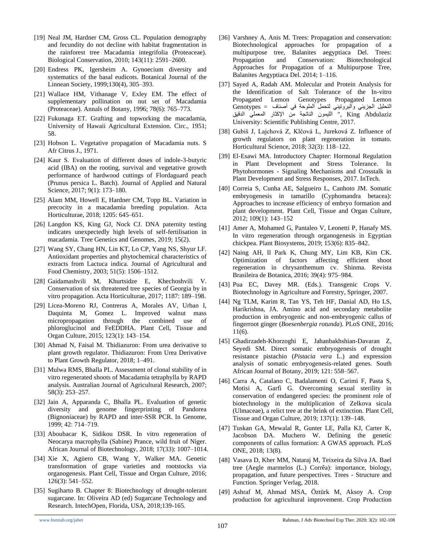- [19] Neal JM, Hardner CM, Gross CL. Population demography and fecundity do not decline with habitat fragmentation in the rainforest tree Macadamia integrifolia (Proteaceae). Biological Conservation, 2010; 143(11): 2591–2600.
- [20] Endress PK, Igersheim A. Gynoecium diversity and systematics of the basal eudicots. Botanical Journal of the Linnean Society, 1999;130(4), 305–393.
- [21] Wallace HM, Vithanage V, Exley EM. The effect of supplementary pollination on nut set of Macadamia (Proteaceae). Annals of Botany, 1996; 78(6): 765–773.
- [22] Fukunaga ET. Grafting and topworking the macadamia, University of Hawaii Agricultural Extension. Circ., 1951; 58.
- [23] Hobson L. Vegetative propagation of Macadamia nuts. S Afr Citrus J., 1971.
- [24] Kaur S. Evaluation of different doses of indole-3-butyric acid (IBA) on the rooting, survival and vegetative growth performance of hardwood cuttings of Flordaguard peach (Prunus persica L. Batch). Journal of Applied and Natural Science, 2017; 9(1): 173–180.
- [25] Alam MM, Howell E, Hardner CM, Topp BL. Variation in precocity in a macadamia breeding population. Acta Horticulturae, 2018; 1205: 645–651.
- [26] Langdon KS, King GJ, Nock CJ. DNA paternity testing indicates unexpectedly high levels of self-fertilisation in macadamia. Tree Genetics and Genomes, 2019; 15(2).
- [27] Wang SY, Chang HN, Lin KT, Lo CP, Yang NS, Shyur LF. Antioxidant properties and phytochemical characteristics of extracts from Lactuca indica. Journal of Agricultural and Food Chemistry, 2003; 51(5): 1506–1512.
- [28] Gaidamashvili M, Khurtsidze E, Khechoshvili V. Conservation of six threatened tree species of Georgia by in vitro propagation. Acta Horticulturae, 2017; 1187: 189–198.
- [29] Licea-Moreno RJ, Contreras A, Morales AV, Urban I, Daquinta M, Gomez L. Improved walnut mass micropropagation through the combined use of phloroglucinol and FeEDDHA. Plant Cell, Tissue and Organ Culture, 2015; 123(1): 143–154.
- [30] Ahmad N, Faisal M. Thidiazuron: From urea derivative to plant growth regulator. Thidiazuron: From Urea Derivative to Plant Growth Regulator, 2018; 1–491.
- [31] Mulwa RMS, Bhalla PL. Assessment of clonal stability of in vitro regenerated shoots of Macadamia tetraphylla by RAPD analysis. Australian Journal of Agricultural Research, 2007; 58(3): 253–257.
- [32] Jain A, Apparanda C, Bhalla PL. Evaluation of genetic diversity and genome fingerprinting of Pandorea (Bignoniaceae) by RAPD and inter-SSR PCR. In Genome, 1999; 42: 714–719.
- [33] Aboubacar K, Sidikou DSR. In vitro regeneration of Neocarya macrophylla (Sabine) Prance, wild fruit of Niger. African Journal of Biotechnology, 2018; 17(33): 1007–1014.
- [34] Xie X, Agüero CB, Wang Y, Walker MA. Genetic transformation of grape varieties and rootstocks via organogenesis. Plant Cell, Tissue and Organ Culture, 2016; 126(3): 541–552.
- [35] Sugiharto B. Chapter 8: Biotechnology of drought-tolerant sugarcane. In: Oliveira AD (ed) Sugarcane Technology and Research. IntechOpen, Florida, USA, 2018;139-165.
- [36] Varshney A, Anis M. Trees: Propagation and conservation: Biotechnological approaches for propagation of a multipurpose tree, Balanites aegyptiaca Del. Trees: Propagation and Conservation: Biotechnological Approaches for Propagation of a Multipurpose Tree, Balanites Aegyptiaca Del. 2014; 1–116.
- [37] Sayed A, Radah AM. Molecular and Protein Analysis for the Identification of Salt Tolerance of the In-vitro Propagated Lemon Genotypes Propagated Lemon التحلیل الجزیئي والبروتیني لتحمل الملوحة في أصناف = Genotypes Abdulaziz King , "اللیمون الناتجة من اإلكثار المعملي الدقیق University: Scientific Publishing Centre, 2017.
- [38] Gubiš J, Lajchová Z, Klčová L, Jureková Z. Influence of growth regulators on plant regeneration in tomato. Horticultural Science, 2018; 32(3): 118–122.
- [39] El-Esawi MA. Introductory Chapter: Hormonal Regulation in Plant Development and Stress Tolerance. In Phytohormones - Signaling Mechanisms and Crosstalk in Plant Development and Stress Responses, 2017. InTech.
- [40] Correia S, Cunha AE, Salgueiro L, Canhoto JM. Somatic embryogenesis in tamarillo (Cyphomandra betacea): Approaches to increase efficiency of embryo formation and plant development. Plant Cell, Tissue and Organ Culture, 2012; 109(1): 143–152
- [41] Amer A, Mohamed G, Pantaleo V, Leonetti P, Hanafy MS. In vitro regeneration through organogenesis in Egyptian chickpea. Plant Biosystems, 2019; 153(6): 835–842.
- [42] Naing AH, Il Park K, Chung MY, Lim KB, Kim CK. Optimization of factors affecting efficient shoot regeneration in chrysanthemum cv. Shinma. Revista Brasileira de Botanica, 2016; 39(4): 975–984.
- [43] Pua EC, Davey MR. (Eds.). Transgenic Crops V. Biotechnology in Agriculture and Forestry, Springer, 2007.
- [44] Ng TLM, Karim R, Tan YS, Teh HF, Danial AD, Ho LS, Harikrishna, JA. Amino acid and secondary metabolite production in embryogenic and non-embryogenic callus of fingerroot ginger (*Boesenbergia rotunda*). PLoS ONE, 2016; 11(6).
- [45] Ghadirzadeh-Khorzoghi E, Jahanbakhshian-Davaran Z, Seyedi SM. Direct somatic embryogenesis of drought resistance pistachio (*Pistacia vera* L.) and expression analysis of somatic embryogenesis-related genes. South African Journal of Botany, 2019; 121: 558–567.
- [46] Carra A, Catalano C, Badalamenti O, Carimi F, Pasta S, Motisi A, Garfì G. Overcoming sexual sterility in conservation of endangered species: the prominent role of biotechnology in the multiplication of Zelkova sicula (Ulmaceae), a relict tree at the brink of extinction. Plant Cell, Tissue and Organ Culture, 2019; 137(1): 139–148.
- [47] Tuskan GA, Mewalal R, Gunter LE, Palla KJ, Carter K, Jacobson DA. Muchero W. Defining the genetic components of callus formation: A GWAS approach. PLoS ONE, 2018; 13(8).
- [48] Vasava D, Kher MM, Nataraj M, Teixeira da Silva JA. Bael tree (Aegle marmelos (L.) Corrêa): importance, biology, propagation, and future perspectives. Trees - Structure and Function. Springer Verlag, 2018.
- [49] Ashraf M, Ahmad MSA, Öztürk M, Aksoy A. Crop production for agricultural improvement. Crop Production